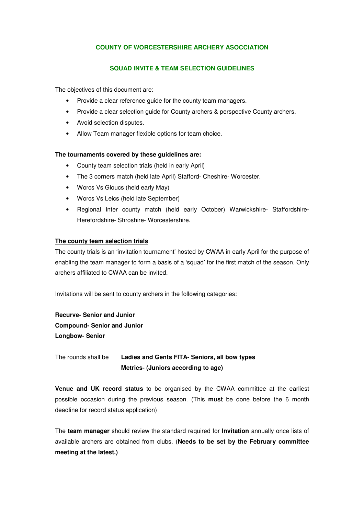## **COUNTY OF WORCESTERSHIRE ARCHERY ASOCCIATION**

#### **SQUAD INVITE & TEAM SELECTION GUIDELINES**

The objectives of this document are:

- Provide a clear reference guide for the county team managers.
- Provide a clear selection guide for County archers & perspective County archers.
- Avoid selection disputes.
- Allow Team manager flexible options for team choice.

#### **The tournaments covered by these guidelines are:**

- County team selection trials (held in early April)
- The 3 corners match (held late April) Stafford- Cheshire- Worcester.
- Worcs Vs Gloucs (held early May)
- Worcs Vs Leics (held late September)
- Regional Inter county match (held early October) Warwickshire- Staffordshire-Herefordshire- Shroshire- Worcestershire.

#### **The county team selection trials**

The county trials is an 'invitation tournament' hosted by CWAA in early April for the purpose of enabling the team manager to form a basis of a 'squad' for the first match of the season. Only archers affiliated to CWAA can be invited.

Invitations will be sent to county archers in the following categories:

**Recurve- Senior and Junior Compound- Senior and Junior Longbow- Senior** 

The rounds shall be **Ladies and Gents FITA- Seniors, all bow types Metrics- (Juniors according to age)** 

**Venue and UK record status** to be organised by the CWAA committee at the earliest possible occasion during the previous season. (This **must** be done before the 6 month deadline for record status application)

The **team manager** should review the standard required for **Invitation** annually once lists of available archers are obtained from clubs. (**Needs to be set by the February committee meeting at the latest.)**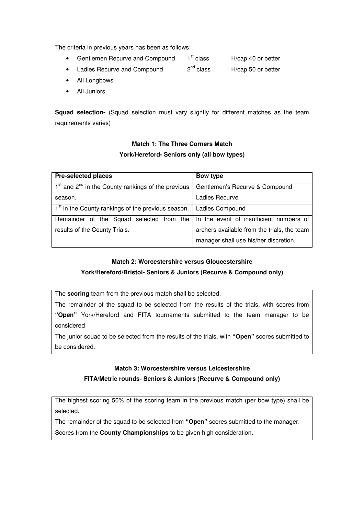The criteria in previous years has been as follows:

- Gentlemen Recurve and Compound  $1<sup>st</sup>$  class  $H/cap$  40 or better
- Ladies Recurve and Compound  $2^{nd}$  class  $H/cap$  50 or better
- All Longbows
- All Juniors

**Squad selection-** (Squad selection must vary slightly for different matches as the team requirements varies)

# **Match 1: The Three Corners Match York/Hereford- Seniors only (all bow types)**

| <b>Pre-selected places</b>                                     | Bow type                                    |
|----------------------------------------------------------------|---------------------------------------------|
| $1st$ and $2nd$ in the County rankings of the previous         | Gentlemen's Recurve & Compound              |
| season.                                                        | Ladies Recurve                              |
| 1 <sup>st</sup> in the County rankings of the previous season. | Ladies Compound                             |
| Remainder of the Squad selected from the                       | In the event of insufficient numbers of     |
| results of the County Trials.                                  | archers available from the trials, the team |
|                                                                | manager shall use his/her discretion.       |

## **Match 2: Worcestershire versus Gloucestershire**

## **York/Hereford/Bristol- Seniors & Juniors (Recurve & Compound only)**

The **scoring** team from the previous match shall be selected.

The remainder of the squad to be selected from the results of the trials, with scores from **"Open"** York/Hereford and FITA tournaments submitted to the team manager to be considered

The junior squad to be selected from the results of the trials, with **"Open"** scores submitted to be considered.

#### **Match 3: Worcestershire versus Leicestershire**

## **FITA/Metric rounds- Seniors & Juniors (Recurve & Compound only)**

The highest scoring 50% of the scoring team in the previous match (per bow type) shall be selected.

The remainder of the squad to be selected from **"Open"** scores submitted to the manager.

Scores from the **County Championships** to be given high consideration.